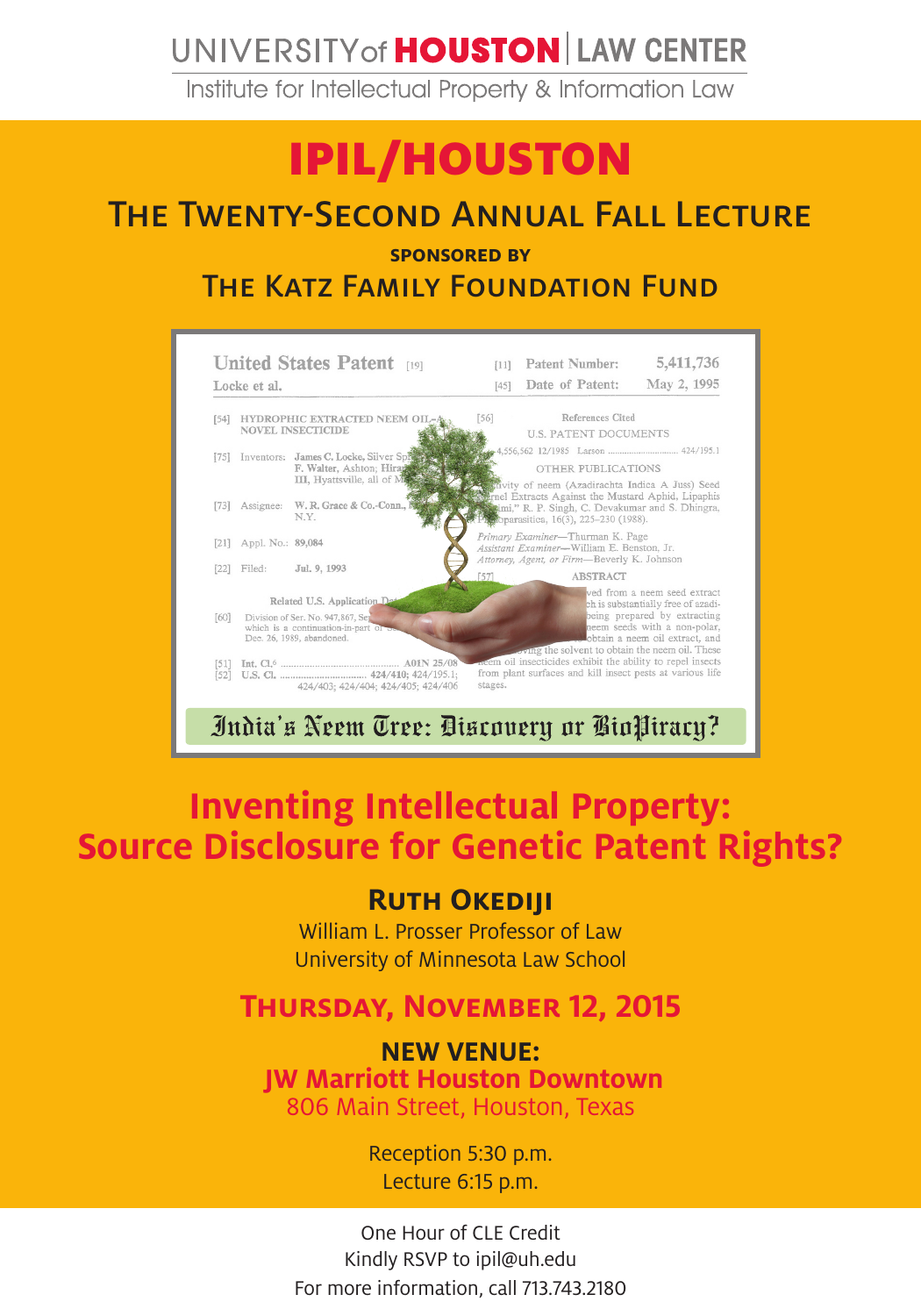## UNIVERSITY of **HOUSTON** LAW CENTER

Institute for Intellectual Property & Information Law

# IPIL/HOUSTON

### The Twenty-Second Annual Fall Lecture

**sponsored by** 

THE KATZ FAMILY FOUNDATION FUND



## **Inventing Intellectual Property: Source Disclosure for Genetic Patent Rights?**

#### **Ruth Okediji**

William L. Prosser Professor of Law University of Minnesota Law School

#### **Thursday, November 12, 2015**

**NEW VENUE: JW Marriott Houston Downtown** 806 Main Street, Houston, Texas

> Reception 5:30 p.m. Lecture 6:15 p.m.

One Hour of CLE Credit Kindly RSVP to ipil@uh.edu For more information, call 713.743.2180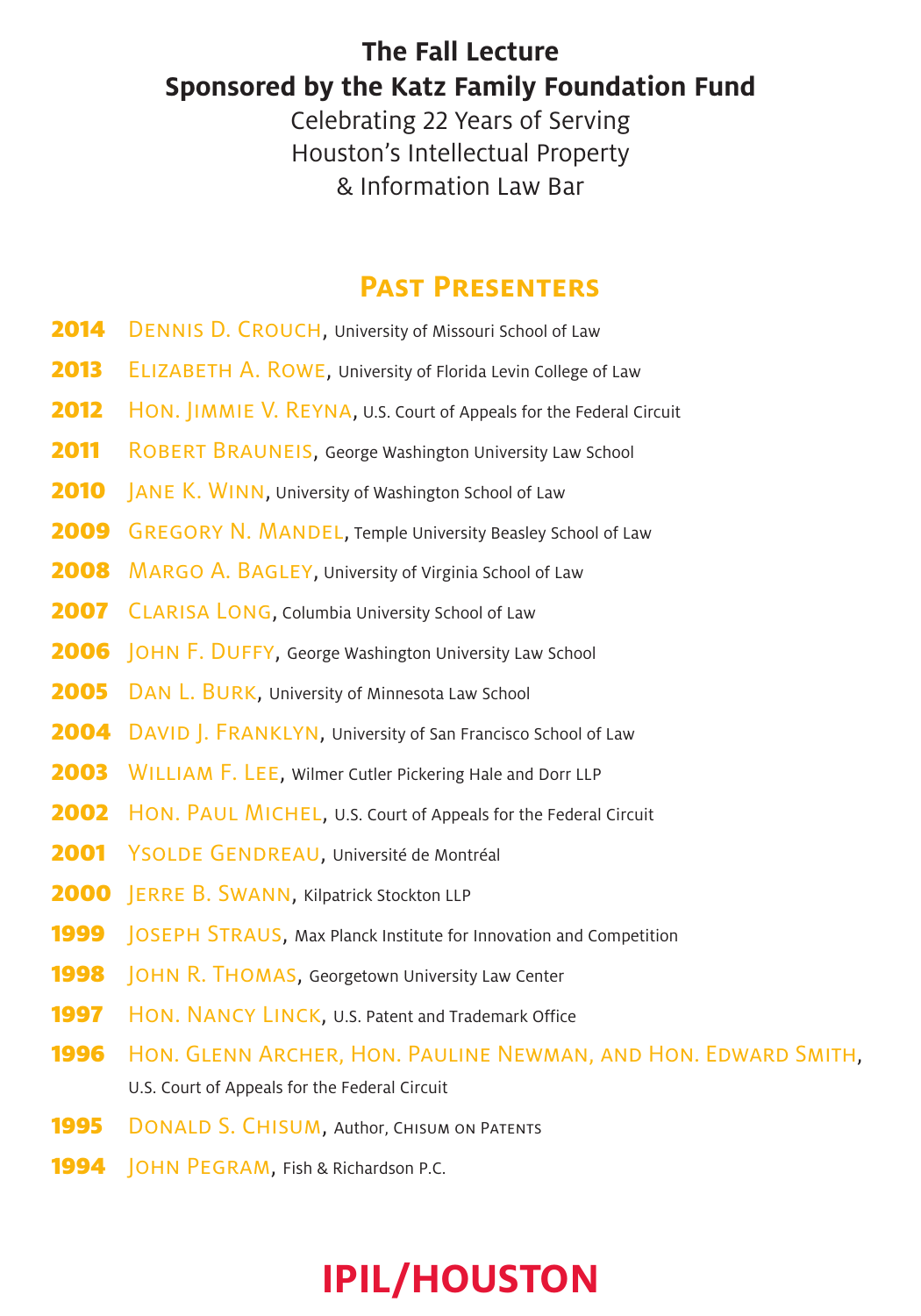#### **The Fall Lecture Sponsored by the Katz Family Foundation Fund**

Celebrating 22 Years of Serving Houston's Intellectual Property & Information Law Bar

#### **Past Presenters**

- **2014** DENNIS D. CROUCH, University of Missouri School of Law
- **2013** ELIZABETH A. ROWE, University of Florida Levin College of Law
- **2012** HON. JIMMIE V. REYNA, U.S. Court of Appeals for the Federal Circuit
- **2011** ROBERT BRAUNEIS, George Washington University Law School
- **2010** JANE K. WINN, University of Washington School of Law
- **2009** GREGORY N. MANDEL, Temple University Beasley School of Law
- **2008** MARGO A. BAGLEY, University of Virginia School of Law
- 2007 CLARISA LONG, Columbia University School of Law
- 2006 | OHN F. DUFFY, George Washington University Law School
- 2005 DAN L. BURK, University of Minnesota Law School
- 2004 DAVID J. FRANKLYN, University of San Francisco School of Law
- 2003 WILLIAM F. LEE, Wilmer Cutler Pickering Hale and Dorr LLP
- **2002** HON. PAUL MICHEL, U.S. Court of Appeals for the Federal Circuit
- 2001 YSOLDE GENDREAU, Université de Montréal
- 2000 **JERRE B. SWANN, Kilpatrick Stockton LLP**
- 1999 | OSEPH STRAUS, Max Planck Institute for Innovation and Competition
- **1998 JOHN R. THOMAS, Georgetown University Law Center**
- 1997 HON. NANCY LINCK, U.S. Patent and Trademark Office
- 1996 Hon. GLENN ARCHER, HON. PAULINE NEWMAN, AND HON. EDWARD SMITH, U.S. Court of Appeals for the Federal Circuit
- **1995** DONALD S. CHISUM, Author, CHISUM ON PATENTS
- 1994 **JOHN PEGRAM, Fish & Richardson P.C.**

# **IPIL/HOUSTON**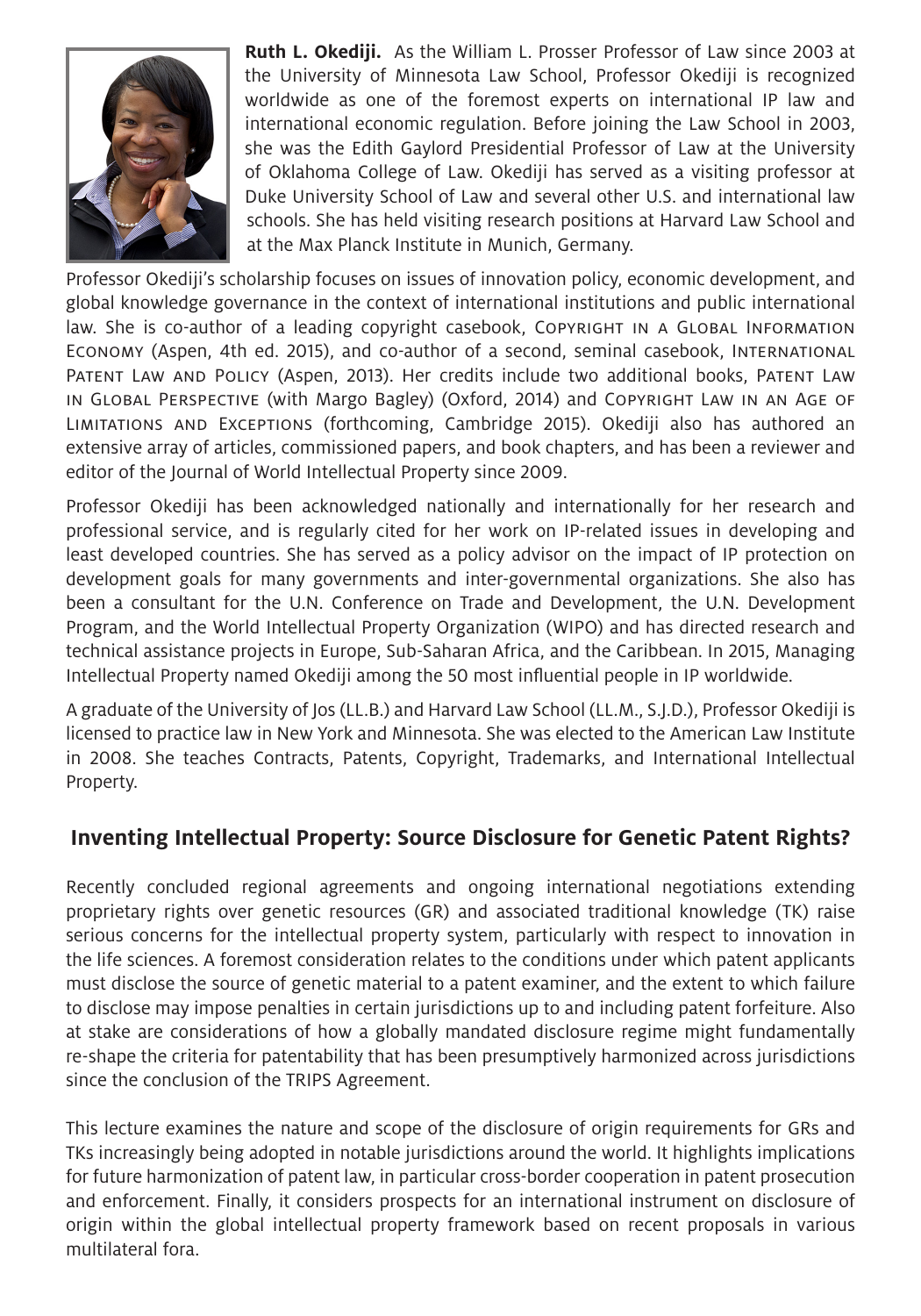

**Ruth L. Okediji.** As the William L. Prosser Professor of Law since 2003 at the University of Minnesota Law School, Professor Okediji is recognized worldwide as one of the foremost experts on international IP law and international economic regulation. Before joining the Law School in 2003, she was the Edith Gaylord Presidential Professor of Law at the University of Oklahoma College of Law. Okediji has served as a visiting professor at Duke University School of Law and several other U.S. and international law schools. She has held visiting research positions at Harvard Law School and at the Max Planck Institute in Munich, Germany.

Professor Okediji's scholarship focuses on issues of innovation policy, economic development, and global knowledge governance in the context of international institutions and public international law. She is co-author of a leading copyright casebook, Copyright in a GLOBAL Information Economy (Aspen, 4th ed. 2015), and co-author of a second, seminal casebook, International Patent Law and Policy (Aspen, 2013). Her credits include two additional books, Patent Law in Global Perspective (with Margo Bagley) (Oxford, 2014) and Copyright Law in an Age of Limitations and Exceptions (forthcoming, Cambridge 2015). Okediji also has authored an extensive array of articles, commissioned papers, and book chapters, and has been a reviewer and editor of the Journal of World Intellectual Property since 2009.

Professor Okediji has been acknowledged nationally and internationally for her research and professional service, and is regularly cited for her work on IP-related issues in developing and least developed countries. She has served as a policy advisor on the impact of IP protection on development goals for many governments and inter-governmental organizations. She also has been a consultant for the U.N. Conference on Trade and Development, the U.N. Development Program, and the World Intellectual Property Organization (WIPO) and has directed research and technical assistance projects in Europe, Sub-Saharan Africa, and the Caribbean. In 2015, Managing Intellectual Property named Okediji among the 50 most influential people in IP worldwide.

A graduate of the University of Jos (LL.B.) and Harvard Law School (LL.M., S.J.D.), Professor Okediji is licensed to practice law in New York and Minnesota. She was elected to the American Law Institute in 2008. She teaches Contracts, Patents, Copyright, Trademarks, and International Intellectual Property.

#### **Inventing Intellectual Property: Source Disclosure for Genetic Patent Rights?**

Recently concluded regional agreements and ongoing international negotiations extending proprietary rights over genetic resources (GR) and associated traditional knowledge (TK) raise serious concerns for the intellectual property system, particularly with respect to innovation in the life sciences. A foremost consideration relates to the conditions under which patent applicants must disclose the source of genetic material to a patent examiner, and the extent to which failure to disclose may impose penalties in certain jurisdictions up to and including patent forfeiture. Also at stake are considerations of how a globally mandated disclosure regime might fundamentally re-shape the criteria for patentability that has been presumptively harmonized across jurisdictions since the conclusion of the TRIPS Agreement.

This lecture examines the nature and scope of the disclosure of origin requirements for GRs and TKs increasingly being adopted in notable jurisdictions around the world. It highlights implications for future harmonization of patent law, in particular cross-border cooperation in patent prosecution and enforcement. Finally, it considers prospects for an international instrument on disclosure of origin within the global intellectual property framework based on recent proposals in various multilateral fora.